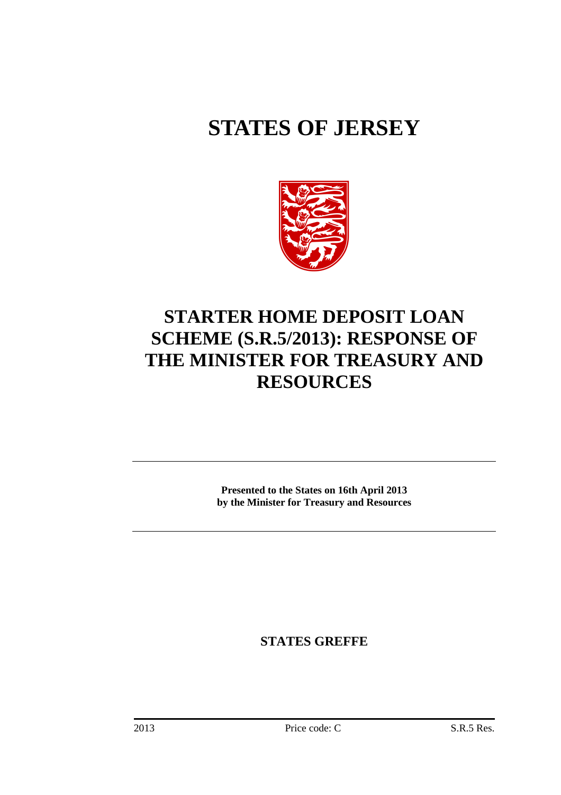# **STATES OF JERSEY**



## **STARTER HOME DEPOSIT LOAN SCHEME (S.R.5/2013): RESPONSE OF THE MINISTER FOR TREASURY AND RESOURCES**

**Presented to the States on 16th April 2013 by the Minister for Treasury and Resources** 

**STATES GREFFE**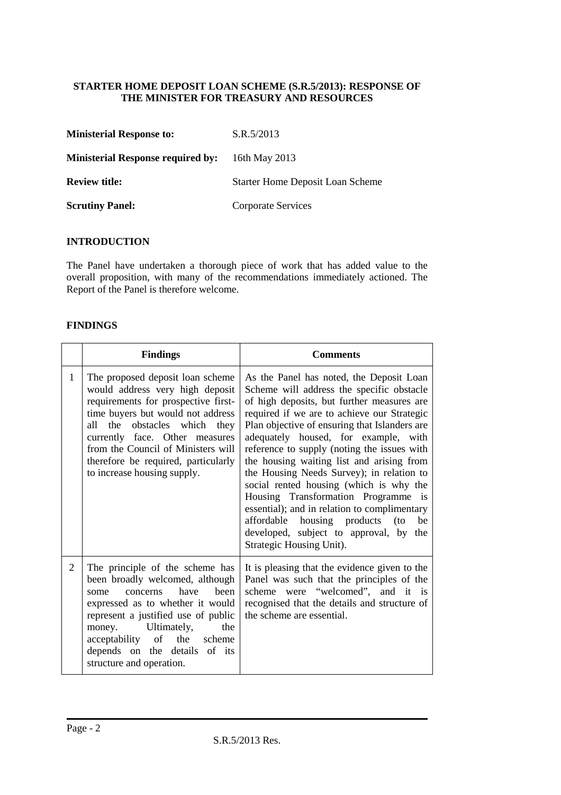#### **STARTER HOME DEPOSIT LOAN SCHEME (S.R.5/2013): RESPONSE OF THE MINISTER FOR TREASURY AND RESOURCES**

| <b>Ministerial Response to:</b>          | S.R.5/2013                              |
|------------------------------------------|-----------------------------------------|
| <b>Ministerial Response required by:</b> | 16th May 2013                           |
| <b>Review title:</b>                     | <b>Starter Home Deposit Loan Scheme</b> |
| <b>Scrutiny Panel:</b>                   | Corporate Services                      |

#### **INTRODUCTION**

The Panel have undertaken a thorough piece of work that has added value to the overall proposition, with many of the recommendations immediately actioned. The Report of the Panel is therefore welcome.

#### **FINDINGS**

|              | <b>Findings</b>                                                                                                                                                                                                                                                                                                                  | <b>Comments</b>                                                                                                                                                                                                                                                                                                                                                                                                                                                                                                                                                                                                                                                          |
|--------------|----------------------------------------------------------------------------------------------------------------------------------------------------------------------------------------------------------------------------------------------------------------------------------------------------------------------------------|--------------------------------------------------------------------------------------------------------------------------------------------------------------------------------------------------------------------------------------------------------------------------------------------------------------------------------------------------------------------------------------------------------------------------------------------------------------------------------------------------------------------------------------------------------------------------------------------------------------------------------------------------------------------------|
| $\mathbf{1}$ | The proposed deposit loan scheme<br>would address very high deposit<br>requirements for prospective first-<br>time buyers but would not address<br>obstacles which they<br>all the<br>currently face. Other measures<br>from the Council of Ministers will<br>therefore be required, particularly<br>to increase housing supply. | As the Panel has noted, the Deposit Loan<br>Scheme will address the specific obstacle<br>of high deposits, but further measures are<br>required if we are to achieve our Strategic<br>Plan objective of ensuring that Islanders are<br>adequately housed, for example, with<br>reference to supply (noting the issues with<br>the housing waiting list and arising from<br>the Housing Needs Survey); in relation to<br>social rented housing (which is why the<br>Housing Transformation Programme is<br>essential); and in relation to complimentary<br>affordable housing products (to<br>be<br>developed, subject to approval, by<br>the<br>Strategic Housing Unit). |
| 2            | The principle of the scheme has<br>been broadly welcomed, although<br>have<br>been<br>concerns<br>some<br>expressed as to whether it would<br>represent a justified use of public<br>money. Ultimately,<br>the<br>acceptability of<br>the<br>scheme<br>depends on the details of its<br>structure and operation.                 | It is pleasing that the evidence given to the<br>Panel was such that the principles of the<br>scheme were "welcomed", and it is<br>recognised that the details and structure of<br>the scheme are essential.                                                                                                                                                                                                                                                                                                                                                                                                                                                             |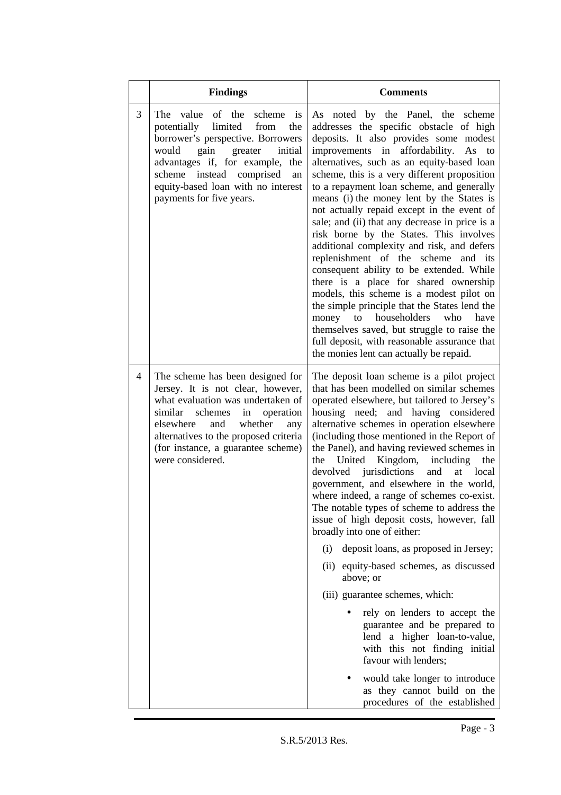|   | <b>Findings</b>                                                                                                                                                                                                                                                                                 | <b>Comments</b>                                                                                                                                                                                                                                                                                                                                                                                                                                                                                                                                                                                                                                                                                                                                                                                                                                                                                                                                                                                                         |
|---|-------------------------------------------------------------------------------------------------------------------------------------------------------------------------------------------------------------------------------------------------------------------------------------------------|-------------------------------------------------------------------------------------------------------------------------------------------------------------------------------------------------------------------------------------------------------------------------------------------------------------------------------------------------------------------------------------------------------------------------------------------------------------------------------------------------------------------------------------------------------------------------------------------------------------------------------------------------------------------------------------------------------------------------------------------------------------------------------------------------------------------------------------------------------------------------------------------------------------------------------------------------------------------------------------------------------------------------|
| 3 | The<br>value<br>of the<br>scheme<br>is<br>limited from<br>potentially<br>the<br>borrower's perspective. Borrowers<br>would<br>gain<br>greater<br>initial<br>advantages if, for example, the<br>scheme instead comprised<br>an<br>equity-based loan with no interest<br>payments for five years. | As noted by the Panel, the scheme<br>addresses the specific obstacle of high<br>deposits. It also provides some modest<br>improvements in affordability.<br>As to<br>alternatives, such as an equity-based loan<br>scheme, this is a very different proposition<br>to a repayment loan scheme, and generally<br>means (i) the money lent by the States is<br>not actually repaid except in the event of<br>sale; and (ii) that any decrease in price is a<br>risk borne by the States. This involves<br>additional complexity and risk, and defers<br>replenishment of the scheme and its<br>consequent ability to be extended. While<br>there is a place for shared ownership<br>models, this scheme is a modest pilot on<br>the simple principle that the States lend the<br>householders<br>who<br>have<br>money<br>to<br>themselves saved, but struggle to raise the<br>full deposit, with reasonable assurance that<br>the monies lent can actually be repaid.                                                     |
| 4 | The scheme has been designed for<br>Jersey. It is not clear, however,<br>what evaluation was undertaken of<br>similar<br>schemes<br>in<br>operation<br>whether<br>elsewhere<br>and<br>any<br>alternatives to the proposed criteria<br>(for instance, a guarantee scheme)<br>were considered.    | The deposit loan scheme is a pilot project<br>that has been modelled on similar schemes<br>operated elsewhere, but tailored to Jersey's<br>housing need; and having considered<br>alternative schemes in operation elsewhere<br>(including those mentioned in the Report of<br>the Panel), and having reviewed schemes in<br>Kingdom,<br>United<br>including<br>the<br>the<br>jurisdictions<br>devolved<br>and<br>at<br>local<br>government, and elsewhere in the world,<br>where indeed, a range of schemes co-exist.<br>The notable types of scheme to address the<br>issue of high deposit costs, however, fall<br>broadly into one of either:<br>deposit loans, as proposed in Jersey;<br>(i)<br>(ii) equity-based schemes, as discussed<br>above; or<br>(iii) guarantee schemes, which:<br>rely on lenders to accept the<br>guarantee and be prepared to<br>lend a higher loan-to-value,<br>with this not finding initial<br>favour with lenders;<br>would take longer to introduce<br>as they cannot build on the |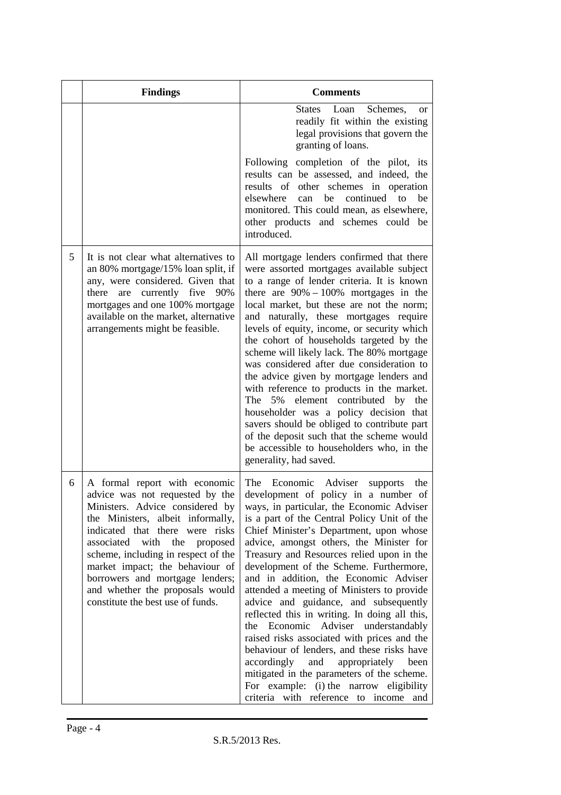|   | <b>Findings</b>                                                                                                                                                                                                                                                                                                                                                                                           | <b>Comments</b>                                                                                                                                                                                                                                                                                                                                                                                                                                                                                                                                                                                                                                                                                                                                                                                                                                                        |
|---|-----------------------------------------------------------------------------------------------------------------------------------------------------------------------------------------------------------------------------------------------------------------------------------------------------------------------------------------------------------------------------------------------------------|------------------------------------------------------------------------------------------------------------------------------------------------------------------------------------------------------------------------------------------------------------------------------------------------------------------------------------------------------------------------------------------------------------------------------------------------------------------------------------------------------------------------------------------------------------------------------------------------------------------------------------------------------------------------------------------------------------------------------------------------------------------------------------------------------------------------------------------------------------------------|
|   |                                                                                                                                                                                                                                                                                                                                                                                                           | States Loan<br>Schemes,<br><b>or</b><br>readily fit within the existing<br>legal provisions that govern the<br>granting of loans.                                                                                                                                                                                                                                                                                                                                                                                                                                                                                                                                                                                                                                                                                                                                      |
|   |                                                                                                                                                                                                                                                                                                                                                                                                           | Following completion of the pilot, its<br>results can be assessed, and indeed, the<br>results of other schemes in operation<br>elsewhere<br>continued to<br>be<br>be<br>can<br>monitored. This could mean, as elsewhere,<br>other products and schemes could be<br>introduced.                                                                                                                                                                                                                                                                                                                                                                                                                                                                                                                                                                                         |
| 5 | It is not clear what alternatives to<br>an 80% mortgage/15% loan split, if<br>any, were considered. Given that<br>there<br>are<br>currently five<br>90%<br>mortgages and one 100% mortgage<br>available on the market, alternative<br>arrangements might be feasible.                                                                                                                                     | All mortgage lenders confirmed that there<br>were assorted mortgages available subject<br>to a range of lender criteria. It is known<br>there are $90\% - 100\%$ mortgages in the<br>local market, but these are not the norm;<br>and naturally, these mortgages require<br>levels of equity, income, or security which<br>the cohort of households targeted by the<br>scheme will likely lack. The 80% mortgage<br>was considered after due consideration to<br>the advice given by mortgage lenders and<br>with reference to products in the market.<br>element contributed by<br>5%<br>The<br>the<br>householder was a policy decision that<br>savers should be obliged to contribute part<br>of the deposit such that the scheme would<br>be accessible to householders who, in the<br>generality, had saved.                                                      |
| 6 | A formal report with economic<br>advice was not requested by the<br>Ministers. Advice considered by<br>the Ministers, albeit informally,<br>indicated that there were risks<br>associated<br>with<br>the<br>proposed<br>scheme, including in respect of the<br>market impact; the behaviour of<br>borrowers and mortgage lenders;<br>and whether the proposals would<br>constitute the best use of funds. | Economic Adviser<br>The<br>supports<br>the<br>development of policy in a number of<br>ways, in particular, the Economic Adviser<br>is a part of the Central Policy Unit of the<br>Chief Minister's Department, upon whose<br>advice, amongst others, the Minister for<br>Treasury and Resources relied upon in the<br>development of the Scheme. Furthermore,<br>and in addition, the Economic Adviser<br>attended a meeting of Ministers to provide<br>advice and guidance, and subsequently<br>reflected this in writing. In doing all this,<br>Economic Adviser understandably<br>the<br>raised risks associated with prices and the<br>behaviour of lenders, and these risks have<br>accordingly<br>and<br>appropriately<br>been<br>mitigated in the parameters of the scheme.<br>For example: (i) the narrow eligibility<br>criteria with reference to income and |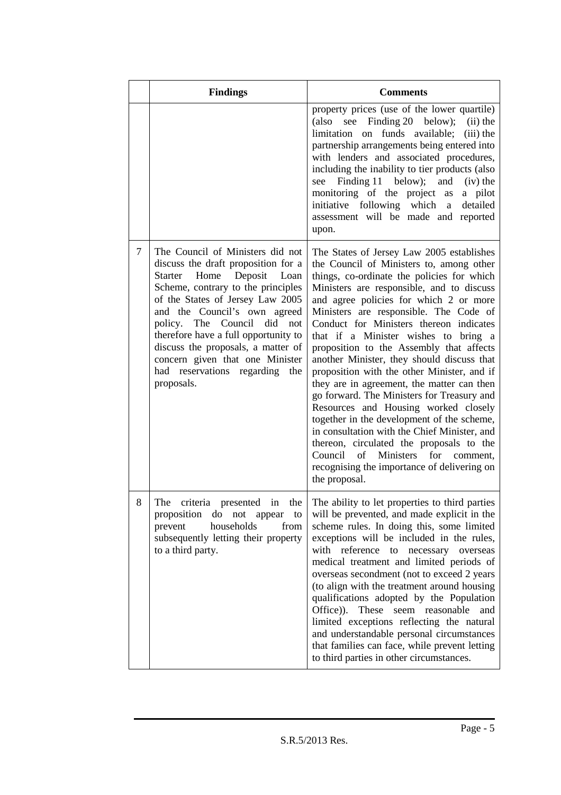|   | <b>Findings</b>                                                                                                                                                                                                                                                                                                                                                                                                | <b>Comments</b>                                                                                                                                                                                                                                                                                                                                                                                                                                                                                                                                                                                                                                                                                                                                                                                                                                                                           |
|---|----------------------------------------------------------------------------------------------------------------------------------------------------------------------------------------------------------------------------------------------------------------------------------------------------------------------------------------------------------------------------------------------------------------|-------------------------------------------------------------------------------------------------------------------------------------------------------------------------------------------------------------------------------------------------------------------------------------------------------------------------------------------------------------------------------------------------------------------------------------------------------------------------------------------------------------------------------------------------------------------------------------------------------------------------------------------------------------------------------------------------------------------------------------------------------------------------------------------------------------------------------------------------------------------------------------------|
|   |                                                                                                                                                                                                                                                                                                                                                                                                                | property prices (use of the lower quartile)<br>(also see Finding 20 below);<br>$(ii)$ the<br>limitation on funds available;<br>(iii) the<br>partnership arrangements being entered into<br>with lenders and associated procedures,<br>including the inability to tier products (also<br>Finding 11 below); and<br>$(iv)$ the<br>see<br>monitoring of the project as<br>a pilot<br>initiative following which<br>detailed<br>a<br>assessment will be made and reported<br>upon.                                                                                                                                                                                                                                                                                                                                                                                                            |
| 7 | The Council of Ministers did not<br>discuss the draft proposition for a<br>Starter Home Deposit Loan<br>Scheme, contrary to the principles<br>of the States of Jersey Law 2005<br>and the Council's own agreed<br>policy. The Council did not<br>therefore have a full opportunity to<br>discuss the proposals, a matter of<br>concern given that one Minister<br>had reservations regarding the<br>proposals. | The States of Jersey Law 2005 establishes<br>the Council of Ministers to, among other<br>things, co-ordinate the policies for which<br>Ministers are responsible, and to discuss<br>and agree policies for which 2 or more<br>Ministers are responsible. The Code of<br>Conduct for Ministers thereon indicates<br>that if a Minister wishes to bring a<br>proposition to the Assembly that affects<br>another Minister, they should discuss that<br>proposition with the other Minister, and if<br>they are in agreement, the matter can then<br>go forward. The Ministers for Treasury and<br>Resources and Housing worked closely<br>together in the development of the scheme,<br>in consultation with the Chief Minister, and<br>thereon, circulated the proposals to the<br>Council of Ministers<br>for<br>comment,<br>recognising the importance of delivering on<br>the proposal. |
| 8 | proposition do not appear<br>to<br>households<br>prevent<br>from<br>subsequently letting their property<br>to a third party.                                                                                                                                                                                                                                                                                   | The criteria presented in the The ability to let properties to third parties<br>will be prevented, and made explicit in the<br>scheme rules. In doing this, some limited<br>exceptions will be included in the rules,<br>with reference<br>necessary<br>to<br>overseas<br>medical treatment and limited periods of<br>overseas secondment (not to exceed 2 years<br>(to align with the treatment around housing<br>qualifications adopted by the Population<br>Office)).<br>These<br>seem reasonable<br>and<br>limited exceptions reflecting the natural<br>and understandable personal circumstances<br>that families can face, while prevent letting<br>to third parties in other circumstances.                                                                                                                                                                                        |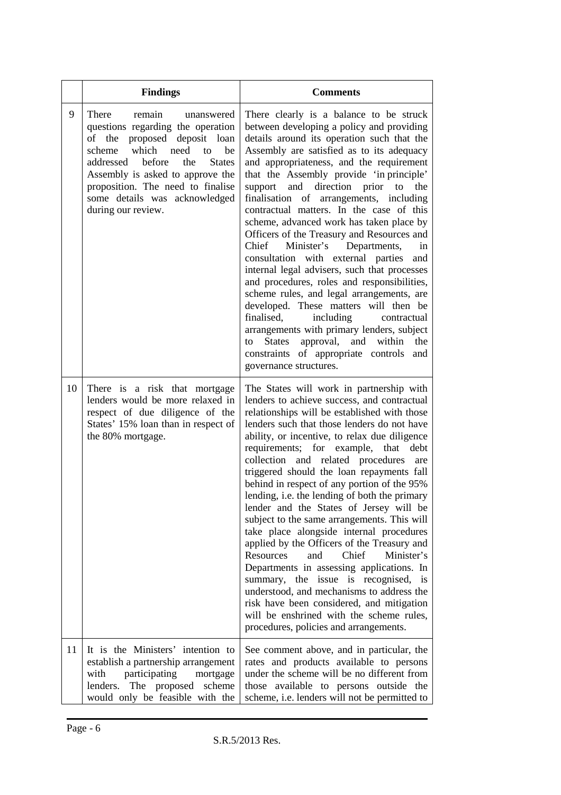|    | <b>Findings</b>                                                                                                                                                                                                                                                                                                    | <b>Comments</b>                                                                                                                                                                                                                                                                                                                                                                                                                                                                                                                                                                                                                                                                                                                                                                                                                                                                                                                                                                                                 |
|----|--------------------------------------------------------------------------------------------------------------------------------------------------------------------------------------------------------------------------------------------------------------------------------------------------------------------|-----------------------------------------------------------------------------------------------------------------------------------------------------------------------------------------------------------------------------------------------------------------------------------------------------------------------------------------------------------------------------------------------------------------------------------------------------------------------------------------------------------------------------------------------------------------------------------------------------------------------------------------------------------------------------------------------------------------------------------------------------------------------------------------------------------------------------------------------------------------------------------------------------------------------------------------------------------------------------------------------------------------|
| 9  | There<br>remain<br>unanswered<br>questions regarding the operation<br>of the proposed deposit loan<br>which need<br>scheme<br>to<br>be<br>addressed before<br>the<br><b>States</b><br>Assembly is asked to approve the<br>proposition. The need to finalise<br>some details was acknowledged<br>during our review. | There clearly is a balance to be struck<br>between developing a policy and providing<br>details around its operation such that the<br>Assembly are satisfied as to its adequacy<br>and appropriateness, and the requirement<br>that the Assembly provide 'in principle'<br>direction prior<br>support<br>and<br>to<br>the<br>finalisation of arrangements, including<br>contractual matters. In the case of this<br>scheme, advanced work has taken place by<br>Officers of the Treasury and Resources and<br>Minister's<br>Chief<br>Departments,<br>in<br>consultation with external parties<br>and<br>internal legal advisers, such that processes<br>and procedures, roles and responsibilities,<br>scheme rules, and legal arrangements, are<br>developed. These matters will then be<br>finalised,<br>including<br>contractual<br>arrangements with primary lenders, subject<br>approval, and within<br><b>States</b><br>the<br>to<br>constraints of appropriate controls<br>and<br>governance structures. |
| 10 | There is a risk that mortgage<br>lenders would be more relaxed in<br>respect of due diligence of the<br>States' 15% loan than in respect of<br>the 80% mortgage.                                                                                                                                                   | The States will work in partnership with<br>lenders to achieve success, and contractual<br>relationships will be established with those<br>lenders such that those lenders do not have<br>ability, or incentive, to relax due diligence<br>requirements; for example, that<br>debt<br>collection and related procedures<br>are<br>triggered should the loan repayments fall<br>behind in respect of any portion of the 95%<br>lending, i.e. the lending of both the primary<br>lender and the States of Jersey will be<br>subject to the same arrangements. This will<br>take place alongside internal procedures<br>applied by the Officers of the Treasury and<br>Resources<br>Chief<br>Minister's<br>and<br>Departments in assessing applications. In<br>summary, the issue is recognised, is<br>understood, and mechanisms to address the<br>risk have been considered, and mitigation<br>will be enshrined with the scheme rules,<br>procedures, policies and arrangements.                                |
| 11 | It is the Ministers' intention to<br>establish a partnership arrangement<br>participating<br>with<br>mortgage<br>lenders.<br>The proposed<br>scheme<br>would only be feasible with the                                                                                                                             | See comment above, and in particular, the<br>rates and products available to persons<br>under the scheme will be no different from<br>those available to persons outside the<br>scheme, i.e. lenders will not be permitted to                                                                                                                                                                                                                                                                                                                                                                                                                                                                                                                                                                                                                                                                                                                                                                                   |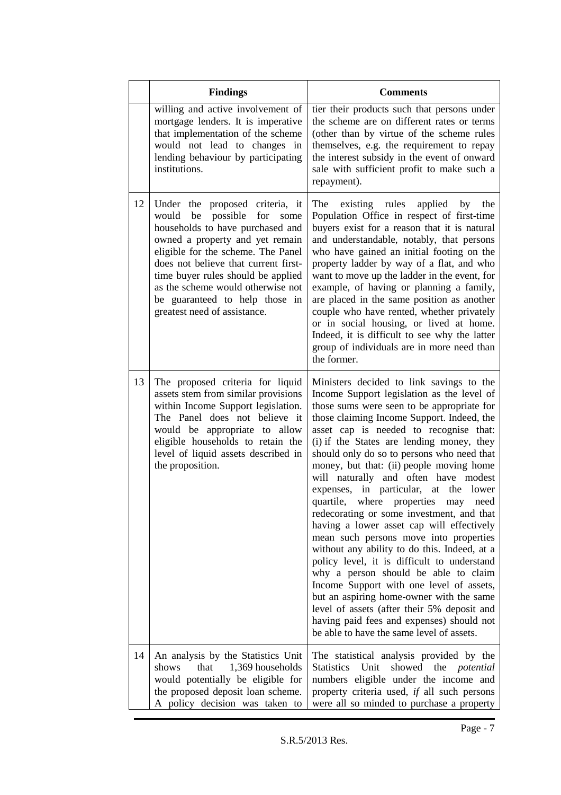|    | <b>Findings</b>                                                                                                                                                                                                                                                                                                                                                             | <b>Comments</b>                                                                                                                                                                                                                                                                                                                                                                                                                                                                                                                                                                                                                                                                                                                                                                                                                                                                                                                                                                                         |
|----|-----------------------------------------------------------------------------------------------------------------------------------------------------------------------------------------------------------------------------------------------------------------------------------------------------------------------------------------------------------------------------|---------------------------------------------------------------------------------------------------------------------------------------------------------------------------------------------------------------------------------------------------------------------------------------------------------------------------------------------------------------------------------------------------------------------------------------------------------------------------------------------------------------------------------------------------------------------------------------------------------------------------------------------------------------------------------------------------------------------------------------------------------------------------------------------------------------------------------------------------------------------------------------------------------------------------------------------------------------------------------------------------------|
|    | willing and active involvement of<br>mortgage lenders. It is imperative<br>that implementation of the scheme<br>would not lead to changes in<br>lending behaviour by participating<br>institutions.                                                                                                                                                                         | tier their products such that persons under<br>the scheme are on different rates or terms<br>(other than by virtue of the scheme rules<br>themselves, e.g. the requirement to repay<br>the interest subsidy in the event of onward<br>sale with sufficient profit to make such a<br>repayment).                                                                                                                                                                                                                                                                                                                                                                                                                                                                                                                                                                                                                                                                                                         |
| 12 | Under the proposed criteria, it<br>possible<br>would<br>be<br>for<br>some<br>households to have purchased and<br>owned a property and yet remain<br>eligible for the scheme. The Panel<br>does not believe that current first-<br>time buyer rules should be applied<br>as the scheme would otherwise not<br>be guaranteed to help those in<br>greatest need of assistance. | existing rules<br>applied<br>The<br>by<br>the<br>Population Office in respect of first-time<br>buyers exist for a reason that it is natural<br>and understandable, notably, that persons<br>who have gained an initial footing on the<br>property ladder by way of a flat, and who<br>want to move up the ladder in the event, for<br>example, of having or planning a family,<br>are placed in the same position as another<br>couple who have rented, whether privately<br>or in social housing, or lived at home.<br>Indeed, it is difficult to see why the latter<br>group of individuals are in more need than<br>the former.                                                                                                                                                                                                                                                                                                                                                                      |
| 13 | The proposed criteria for liquid<br>assets stem from similar provisions<br>within Income Support legislation.<br>The Panel does not believe it<br>would be appropriate to allow<br>eligible households to retain the<br>level of liquid assets described in<br>the proposition.                                                                                             | Ministers decided to link savings to the<br>Income Support legislation as the level of<br>those sums were seen to be appropriate for<br>those claiming Income Support. Indeed, the<br>asset cap is needed to recognise that:<br>(i) if the States are lending money, they<br>should only do so to persons who need that<br>money, but that: (ii) people moving home<br>will naturally and often have modest<br>expenses, in particular, at the lower<br>quartile, where properties may need<br>redecorating or some investment, and that<br>having a lower asset cap will effectively<br>mean such persons move into properties<br>without any ability to do this. Indeed, at a<br>policy level, it is difficult to understand<br>why a person should be able to claim<br>Income Support with one level of assets,<br>but an aspiring home-owner with the same<br>level of assets (after their 5% deposit and<br>having paid fees and expenses) should not<br>be able to have the same level of assets. |
| 14 | An analysis by the Statistics Unit<br>that<br>1,369 households<br>shows<br>would potentially be eligible for<br>the proposed deposit loan scheme.<br>A policy decision was taken to                                                                                                                                                                                         | The statistical analysis provided by the<br>Statistics Unit<br>showed the <i>potential</i><br>numbers eligible under the income and<br>property criteria used, if all such persons<br>were all so minded to purchase a property                                                                                                                                                                                                                                                                                                                                                                                                                                                                                                                                                                                                                                                                                                                                                                         |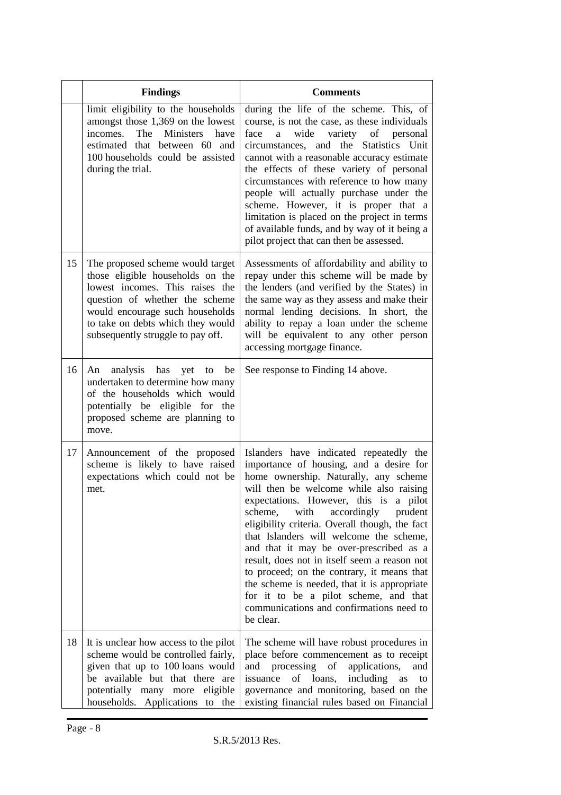|    | <b>Findings</b>                                                                                                                                                                                                                                        | <b>Comments</b>                                                                                                                                                                                                                                                                                                                                                                                                                                                                                                                                                                                                                                    |
|----|--------------------------------------------------------------------------------------------------------------------------------------------------------------------------------------------------------------------------------------------------------|----------------------------------------------------------------------------------------------------------------------------------------------------------------------------------------------------------------------------------------------------------------------------------------------------------------------------------------------------------------------------------------------------------------------------------------------------------------------------------------------------------------------------------------------------------------------------------------------------------------------------------------------------|
|    | limit eligibility to the households<br>amongst those 1,369 on the lowest<br>incomes. The Ministers<br>have<br>estimated that between 60 and<br>100 households could be assisted<br>during the trial.                                                   | during the life of the scheme. This, of<br>course, is not the case, as these individuals<br>variety of personal<br>wide<br>face<br>a<br>circumstances, and the Statistics Unit<br>cannot with a reasonable accuracy estimate<br>the effects of these variety of personal<br>circumstances with reference to how many<br>people will actually purchase under the<br>scheme. However, it is proper that a<br>limitation is placed on the project in terms<br>of available funds, and by way of it being a<br>pilot project that can then be assessed.                                                                                                |
| 15 | The proposed scheme would target<br>those eligible households on the<br>lowest incomes. This raises the<br>question of whether the scheme<br>would encourage such households<br>to take on debts which they would<br>subsequently struggle to pay off. | Assessments of affordability and ability to<br>repay under this scheme will be made by<br>the lenders (and verified by the States) in<br>the same way as they assess and make their<br>normal lending decisions. In short, the<br>ability to repay a loan under the scheme<br>will be equivalent to any other person<br>accessing mortgage finance.                                                                                                                                                                                                                                                                                                |
| 16 | analysis has yet to<br>be<br>An<br>undertaken to determine how many<br>of the households which would<br>potentially be eligible for the<br>proposed scheme are planning to<br>move.                                                                    | See response to Finding 14 above.                                                                                                                                                                                                                                                                                                                                                                                                                                                                                                                                                                                                                  |
| 17 | Announcement of the proposed<br>scheme is likely to have raised<br>expectations which could not be<br>met.                                                                                                                                             | Islanders have indicated repeatedly the<br>importance of housing, and a desire for<br>home ownership. Naturally, any scheme<br>will then be welcome while also raising<br>expectations. However, this is a pilot<br>scheme, with<br>accordingly<br>prudent<br>eligibility criteria. Overall though, the fact<br>that Islanders will welcome the scheme,<br>and that it may be over-prescribed as a<br>result, does not in itself seem a reason not<br>to proceed; on the contrary, it means that<br>the scheme is needed, that it is appropriate<br>for it to be a pilot scheme, and that<br>communications and confirmations need to<br>be clear. |
| 18 | It is unclear how access to the pilot<br>scheme would be controlled fairly,<br>given that up to 100 loans would<br>be available but that there are<br>potentially many more<br>eligible<br>households. Applications to the                             | The scheme will have robust procedures in<br>place before commencement as to receipt<br>and processing<br>$\sigma$<br>applications,<br>and<br>issuance<br>of loans,<br>including<br>as<br>to<br>governance and monitoring, based on the<br>existing financial rules based on Financial                                                                                                                                                                                                                                                                                                                                                             |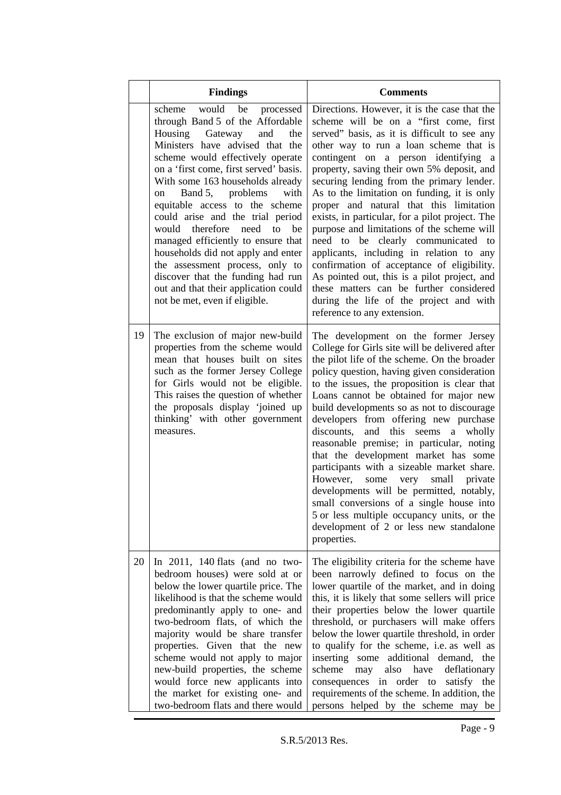|    | <b>Findings</b>                                                                                                                                                                                                                                                                                                                                                                                                                                                                                                                                                                                                                                | <b>Comments</b>                                                                                                                                                                                                                                                                                                                                                                                                                                                                                                                                                                                                                                                                                                                                                                                                     |
|----|------------------------------------------------------------------------------------------------------------------------------------------------------------------------------------------------------------------------------------------------------------------------------------------------------------------------------------------------------------------------------------------------------------------------------------------------------------------------------------------------------------------------------------------------------------------------------------------------------------------------------------------------|---------------------------------------------------------------------------------------------------------------------------------------------------------------------------------------------------------------------------------------------------------------------------------------------------------------------------------------------------------------------------------------------------------------------------------------------------------------------------------------------------------------------------------------------------------------------------------------------------------------------------------------------------------------------------------------------------------------------------------------------------------------------------------------------------------------------|
|    | would<br>scheme<br>be<br>processed<br>through Band 5 of the Affordable<br>Housing Gateway<br>and<br>the<br>Ministers have advised that the<br>scheme would effectively operate<br>on a 'first come, first served' basis.<br>With some 163 households already<br>Band 5,<br>problems<br>with<br>on<br>equitable access to the scheme<br>could arise and the trial period<br>would<br>therefore<br>need<br>to<br>be<br>managed efficiently to ensure that<br>households did not apply and enter<br>the assessment process, only to<br>discover that the funding had run<br>out and that their application could<br>not be met, even if eligible. | Directions. However, it is the case that the<br>scheme will be on a "first come, first<br>served" basis, as it is difficult to see any<br>other way to run a loan scheme that is<br>contingent on a person identifying a<br>property, saving their own 5% deposit, and<br>securing lending from the primary lender.<br>As to the limitation on funding, it is only<br>proper and natural that this limitation<br>exists, in particular, for a pilot project. The<br>purpose and limitations of the scheme will<br>need to be clearly communicated to<br>applicants, including in relation to any<br>confirmation of acceptance of eligibility.<br>As pointed out, this is a pilot project, and<br>these matters can be further considered<br>during the life of the project and with<br>reference to any extension. |
| 19 | The exclusion of major new-build<br>properties from the scheme would<br>mean that houses built on sites<br>such as the former Jersey College<br>for Girls would not be eligible.<br>This raises the question of whether<br>the proposals display 'joined up<br>thinking' with other government<br>measures.                                                                                                                                                                                                                                                                                                                                    | The development on the former Jersey<br>College for Girls site will be delivered after<br>the pilot life of the scheme. On the broader<br>policy question, having given consideration<br>to the issues, the proposition is clear that<br>Loans cannot be obtained for major new<br>build developments so as not to discourage<br>developers from offering new purchase<br>discounts,<br>and<br>this<br>seems<br>a<br>wholly<br>reasonable premise; in particular, noting<br>that the development market has some<br>participants with a sizeable market share.<br>However,<br>some very small private<br>developments will be permitted, notably,<br>small conversions of a single house into<br>5 or less multiple occupancy units, or the<br>development of 2 or less new standalone<br>properties.               |
| 20 | In $2011$ , 140 flats (and no two-<br>bedroom houses) were sold at or<br>below the lower quartile price. The<br>likelihood is that the scheme would<br>predominantly apply to one- and<br>two-bedroom flats, of which the<br>majority would be share transfer<br>properties. Given that the new<br>scheme would not apply to major<br>new-build properties, the scheme<br>would force new applicants into<br>the market for existing one- and<br>two-bedroom flats and there would                                                                                                                                                             | The eligibility criteria for the scheme have<br>been narrowly defined to focus on the<br>lower quartile of the market, and in doing<br>this, it is likely that some sellers will price<br>their properties below the lower quartile<br>threshold, or purchasers will make offers<br>below the lower quartile threshold, in order<br>to qualify for the scheme, i.e. as well as<br>inserting some additional demand, the<br>scheme<br>have<br>may<br>also<br>deflationary<br>consequences in order to satisfy the<br>requirements of the scheme. In addition, the<br>persons helped by the scheme may be                                                                                                                                                                                                             |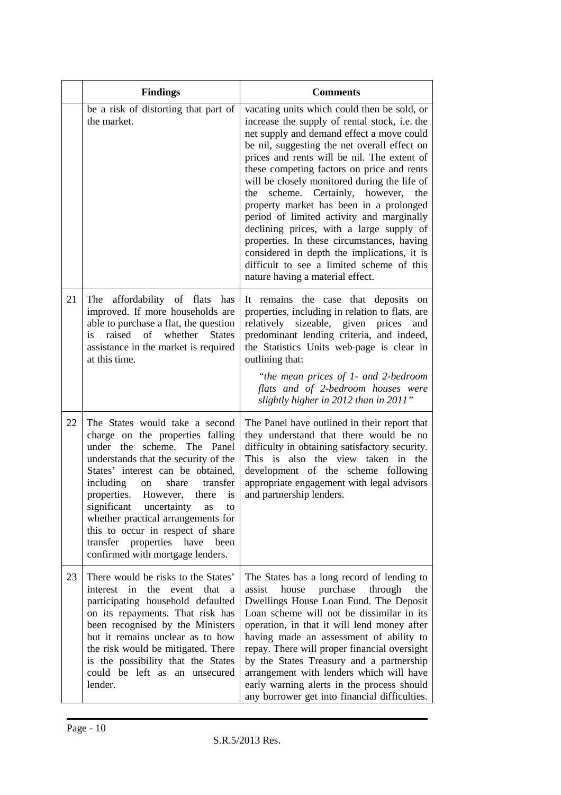|    | <b>Findings</b>                                                                                                                                                                                                                                                                                                                                                                                                                                               | <b>Comments</b>                                                                                                                                                                                                                                                                                                                                                                                                                                                                                                                                                                                                                                                                                          |
|----|---------------------------------------------------------------------------------------------------------------------------------------------------------------------------------------------------------------------------------------------------------------------------------------------------------------------------------------------------------------------------------------------------------------------------------------------------------------|----------------------------------------------------------------------------------------------------------------------------------------------------------------------------------------------------------------------------------------------------------------------------------------------------------------------------------------------------------------------------------------------------------------------------------------------------------------------------------------------------------------------------------------------------------------------------------------------------------------------------------------------------------------------------------------------------------|
|    | be a risk of distorting that part of<br>the market.                                                                                                                                                                                                                                                                                                                                                                                                           | vacating units which could then be sold, or<br>increase the supply of rental stock, i.e. the<br>net supply and demand effect a move could<br>be nil, suggesting the net overall effect on<br>prices and rents will be nil. The extent of<br>these competing factors on price and rents<br>will be closely monitored during the life of<br>scheme.<br>Certainly, however,<br>the<br>the<br>property market has been in a prolonged<br>period of limited activity and marginally<br>declining prices, with a large supply of<br>properties. In these circumstances, having<br>considered in depth the implications, it is<br>difficult to see a limited scheme of this<br>nature having a material effect. |
| 21 | The<br>affordability of flats has<br>improved. If more households are<br>able to purchase a flat, the question<br>raised of whether<br>is<br><b>States</b><br>assistance in the market is required<br>at this time.                                                                                                                                                                                                                                           | It remains the case that deposits<br><sub>on</sub><br>properties, including in relation to flats, are<br>relatively sizeable, given<br>prices<br>and<br>predominant lending criteria, and indeed,<br>the Statistics Units web-page is clear in<br>outlining that:<br>"the mean prices of 1- and 2-bedroom<br>flats and of 2-bedroom houses were<br>slightly higher in 2012 than in 2011"                                                                                                                                                                                                                                                                                                                 |
| 22 | The States would take a second<br>charge on the properties falling<br>scheme. The Panel<br>under the<br>understands that the security of the<br>States' interest can be obtained,<br>including<br>transfer<br>share<br>on<br>properties. However,<br>there<br>is<br>significant<br>uncertainty<br>as<br>to<br>whether practical arrangements for<br>this to occur in respect of share<br>transfer properties have<br>been<br>confirmed with mortgage lenders. | The Panel have outlined in their report that<br>they understand that there would be no<br>difficulty in obtaining satisfactory security.<br>This is also the view taken in the<br>development of the scheme following<br>appropriate engagement with legal advisors<br>and partnership lenders.                                                                                                                                                                                                                                                                                                                                                                                                          |
| 23 | There would be risks to the States'<br>interest in the<br>that<br>event<br>a<br>participating household defaulted<br>on its repayments. That risk has<br>been recognised by the Ministers<br>but it remains unclear as to how<br>the risk would be mitigated. There<br>is the possibility that the States<br>could be left as an unsecured<br>lender.                                                                                                         | The States has a long record of lending to<br>house<br>purchase<br>through<br>the<br>assist<br>Dwellings House Loan Fund. The Deposit<br>Loan scheme will not be dissimilar in its<br>operation, in that it will lend money after<br>having made an assessment of ability to<br>repay. There will proper financial oversight<br>by the States Treasury and a partnership<br>arrangement with lenders which will have<br>early warning alerts in the process should<br>any borrower get into financial difficulties.                                                                                                                                                                                      |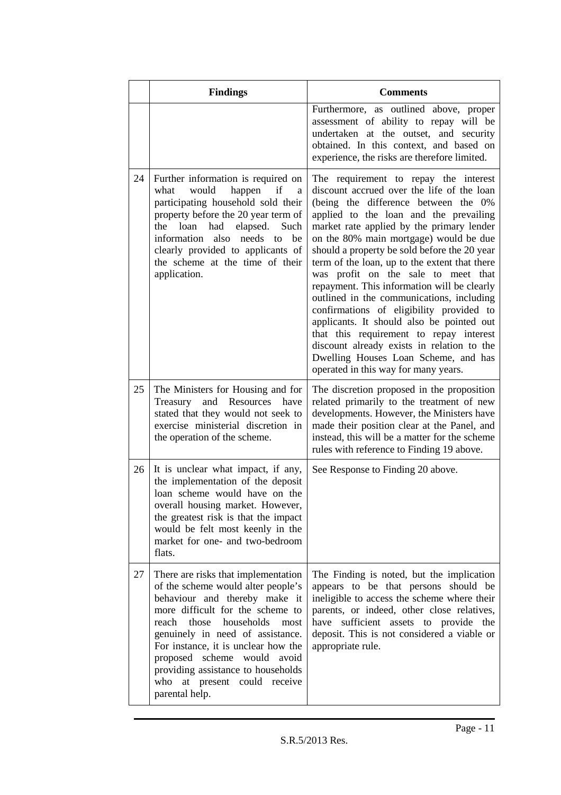|    | <b>Findings</b>                                                                                                                                                                                                                                                                                                                                                                             | <b>Comments</b>                                                                                                                                                                                                                                                                                                                                                                                                                                                                                                                                                                                                                                                                                                                                                    |
|----|---------------------------------------------------------------------------------------------------------------------------------------------------------------------------------------------------------------------------------------------------------------------------------------------------------------------------------------------------------------------------------------------|--------------------------------------------------------------------------------------------------------------------------------------------------------------------------------------------------------------------------------------------------------------------------------------------------------------------------------------------------------------------------------------------------------------------------------------------------------------------------------------------------------------------------------------------------------------------------------------------------------------------------------------------------------------------------------------------------------------------------------------------------------------------|
|    |                                                                                                                                                                                                                                                                                                                                                                                             | Furthermore, as outlined above, proper<br>assessment of ability to repay will be<br>undertaken at the outset, and security<br>obtained. In this context, and based on<br>experience, the risks are therefore limited.                                                                                                                                                                                                                                                                                                                                                                                                                                                                                                                                              |
| 24 | Further information is required on<br>if<br>would<br>happen<br>what<br>a<br>participating household sold their<br>property before the 20 year term of<br>loan<br>had<br>elapsed.<br>Such<br>the<br>information<br>needs to<br>be<br>also<br>clearly provided to applicants of<br>the scheme at the time of their<br>application.                                                            | The requirement to repay the interest<br>discount accrued over the life of the loan<br>(being the difference between the 0%<br>applied to the loan and the prevailing<br>market rate applied by the primary lender<br>on the 80% main mortgage) would be due<br>should a property be sold before the 20 year<br>term of the loan, up to the extent that there<br>was profit on the sale to meet that<br>repayment. This information will be clearly<br>outlined in the communications, including<br>confirmations of eligibility provided to<br>applicants. It should also be pointed out<br>that this requirement to repay interest<br>discount already exists in relation to the<br>Dwelling Houses Loan Scheme, and has<br>operated in this way for many years. |
| 25 | The Ministers for Housing and for<br>Treasury and Resources have<br>stated that they would not seek to<br>exercise ministerial discretion in<br>the operation of the scheme.                                                                                                                                                                                                                | The discretion proposed in the proposition<br>related primarily to the treatment of new<br>developments. However, the Ministers have<br>made their position clear at the Panel, and<br>instead, this will be a matter for the scheme<br>rules with reference to Finding 19 above.                                                                                                                                                                                                                                                                                                                                                                                                                                                                                  |
| 26 | It is unclear what impact, if any,<br>the implementation of the deposit<br>loan scheme would have on the<br>overall housing market. However,<br>the greatest risk is that the impact<br>would be felt most keenly in the<br>market for one- and two-bedroom<br>flats.                                                                                                                       | See Response to Finding 20 above.                                                                                                                                                                                                                                                                                                                                                                                                                                                                                                                                                                                                                                                                                                                                  |
| 27 | There are risks that implementation<br>of the scheme would alter people's<br>behaviour and thereby make it<br>more difficult for the scheme to<br>households<br>reach<br>those<br>most<br>genuinely in need of assistance.<br>For instance, it is unclear how the<br>proposed scheme would avoid<br>providing assistance to households<br>at present could receive<br>who<br>parental help. | The Finding is noted, but the implication<br>appears to be that persons should be<br>ineligible to access the scheme where their<br>parents, or indeed, other close relatives,<br>have sufficient assets to provide the<br>deposit. This is not considered a viable or<br>appropriate rule.                                                                                                                                                                                                                                                                                                                                                                                                                                                                        |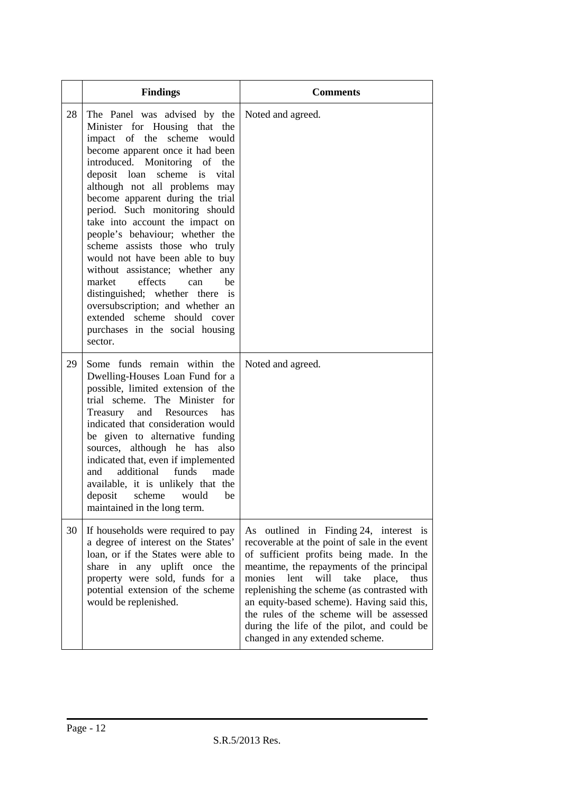|    | <b>Findings</b>                                                                                                                                                                                                                                                                                                                                                                                                                                                                                                                                                                                                                                                                                         | <b>Comments</b>                                                                                                                                                                                                                                                                                                                                                                                                                                                |
|----|---------------------------------------------------------------------------------------------------------------------------------------------------------------------------------------------------------------------------------------------------------------------------------------------------------------------------------------------------------------------------------------------------------------------------------------------------------------------------------------------------------------------------------------------------------------------------------------------------------------------------------------------------------------------------------------------------------|----------------------------------------------------------------------------------------------------------------------------------------------------------------------------------------------------------------------------------------------------------------------------------------------------------------------------------------------------------------------------------------------------------------------------------------------------------------|
| 28 | The Panel was advised by the<br>Minister for Housing that the<br>impact of the<br>scheme would<br>become apparent once it had been<br>introduced. Monitoring of<br>the<br>scheme is<br>deposit loan<br>vital<br>although not all problems may<br>become apparent during the trial<br>period. Such monitoring should<br>take into account the impact on<br>people's behaviour; whether the<br>scheme assists those who truly<br>would not have been able to buy<br>without assistance; whether any<br>market<br>effects<br>he<br>can<br>distinguished; whether there<br>$\overline{1}$<br>oversubscription; and whether an<br>extended scheme should cover<br>purchases in the social housing<br>sector. | Noted and agreed.                                                                                                                                                                                                                                                                                                                                                                                                                                              |
| 29 | Some funds remain within the<br>Dwelling-Houses Loan Fund for a<br>possible, limited extension of the<br>trial scheme. The Minister<br>for<br>Treasury and Resources<br>has<br>indicated that consideration would<br>be given to alternative funding<br>sources, although he has also<br>indicated that, even if implemented<br>additional<br>funds<br>and<br>made<br>available, it is unlikely that the<br>scheme<br>deposit<br>would<br>be<br>maintained in the long term.                                                                                                                                                                                                                            | Noted and agreed.                                                                                                                                                                                                                                                                                                                                                                                                                                              |
| 30 | If households were required to pay<br>a degree of interest on the States'<br>loan, or if the States were able to<br>share in any uplift once the<br>property were sold, funds for a<br>potential extension of the scheme<br>would be replenished.                                                                                                                                                                                                                                                                                                                                                                                                                                                       | As outlined in Finding 24, interest is<br>recoverable at the point of sale in the event<br>of sufficient profits being made. In the<br>meantime, the repayments of the principal<br>lent<br>will<br>take<br>monies<br>place,<br>thus<br>replenishing the scheme (as contrasted with<br>an equity-based scheme). Having said this,<br>the rules of the scheme will be assessed<br>during the life of the pilot, and could be<br>changed in any extended scheme. |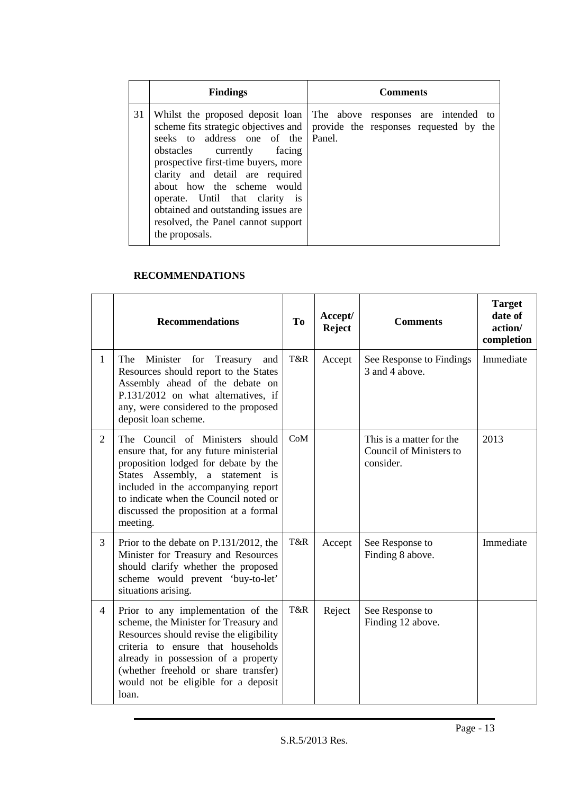|    | <b>Findings</b>                                                                                                                                                                                                                                                                                    | <b>Comments</b>                                                                                                                                               |  |  |  |  |
|----|----------------------------------------------------------------------------------------------------------------------------------------------------------------------------------------------------------------------------------------------------------------------------------------------------|---------------------------------------------------------------------------------------------------------------------------------------------------------------|--|--|--|--|
| 31 | seeks to address one of the<br>obstacles currently facing<br>prospective first-time buyers, more<br>clarity and detail are required<br>about how the scheme would<br>operate. Until that clarity is<br>obtained and outstanding issues are<br>resolved, the Panel cannot support<br>the proposals. | Whilst the proposed deposit loan The above responses are intended to<br>scheme fits strategic objectives and provide the responses requested by the<br>Panel. |  |  |  |  |

### **RECOMMENDATIONS**

|                | <b>Recommendations</b>                                                                                                                                                                                                                                                                      | T <sub>0</sub> | Accept/<br><b>Reject</b> | <b>Comments</b>                                                  | <b>Target</b><br>date of<br>action/<br>completion |
|----------------|---------------------------------------------------------------------------------------------------------------------------------------------------------------------------------------------------------------------------------------------------------------------------------------------|----------------|--------------------------|------------------------------------------------------------------|---------------------------------------------------|
| 1              | The<br>Minister<br>for<br>Treasury<br>and<br>Resources should report to the States<br>Assembly ahead of the debate on<br>P.131/2012 on what alternatives, if<br>any, were considered to the proposed<br>deposit loan scheme.                                                                | T&R            | Accept                   | See Response to Findings<br>3 and 4 above.                       | Immediate                                         |
| $\overline{2}$ | The Council of Ministers should<br>ensure that, for any future ministerial<br>proposition lodged for debate by the<br>States Assembly, a statement is<br>included in the accompanying report<br>to indicate when the Council noted or<br>discussed the proposition at a formal<br>meeting.  | CoM            |                          | This is a matter for the<br>Council of Ministers to<br>consider. | 2013                                              |
| 3              | Prior to the debate on P.131/2012, the<br>Minister for Treasury and Resources<br>should clarify whether the proposed<br>scheme would prevent 'buy-to-let'<br>situations arising.                                                                                                            | T&R            | Accept                   | See Response to<br>Finding 8 above.                              | Immediate                                         |
| $\overline{4}$ | Prior to any implementation of the<br>scheme, the Minister for Treasury and<br>Resources should revise the eligibility<br>criteria to ensure that households<br>already in possession of a property<br>(whether freehold or share transfer)<br>would not be eligible for a deposit<br>loan. | T&R            | Reject                   | See Response to<br>Finding 12 above.                             |                                                   |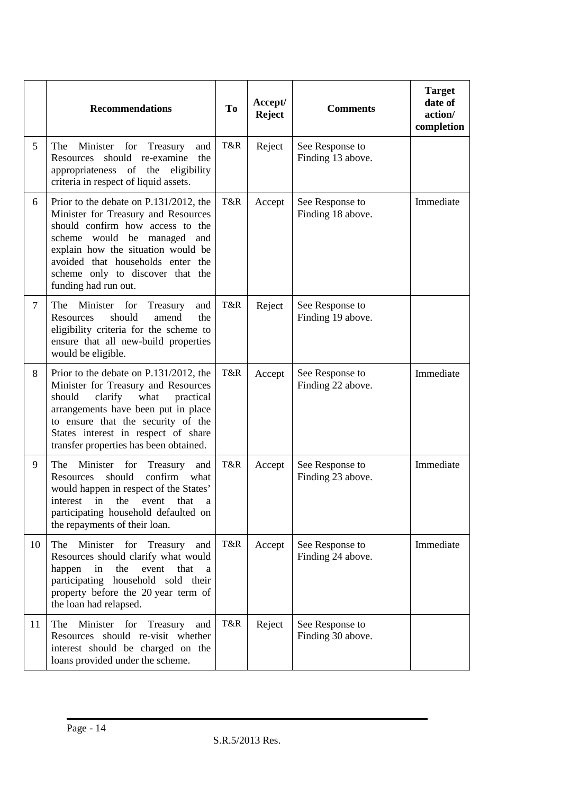|        | <b>Recommendations</b>                                                                                                                                                                                                                                                                  | <b>To</b> | Accept/<br><b>Reject</b> | <b>Comments</b>                      | <b>Target</b><br>date of<br>action/<br>completion |
|--------|-----------------------------------------------------------------------------------------------------------------------------------------------------------------------------------------------------------------------------------------------------------------------------------------|-----------|--------------------------|--------------------------------------|---------------------------------------------------|
| 5      | Minister for Treasury<br>The<br>and<br>should<br>re-examine<br>the<br>Resources<br>appropriateness of the<br>eligibility<br>criteria in respect of liquid assets.                                                                                                                       | T&R       | Reject                   | See Response to<br>Finding 13 above. |                                                   |
| 6      | Prior to the debate on P.131/2012, the<br>Minister for Treasury and Resources<br>should confirm how access to the<br>scheme would be managed and<br>explain how the situation would be<br>avoided that households enter the<br>scheme only to discover that the<br>funding had run out. | T&R       | Accept                   | See Response to<br>Finding 18 above. | Immediate                                         |
| $\tau$ | The<br>Minister for<br>Treasury<br>and<br>should<br>Resources<br>amend<br>the<br>eligibility criteria for the scheme to<br>ensure that all new-build properties<br>would be eligible.                                                                                                   | T&R       | Reject                   | See Response to<br>Finding 19 above. |                                                   |
| 8      | Prior to the debate on P.131/2012, the<br>Minister for Treasury and Resources<br>should<br>clarify<br>what<br>practical<br>arrangements have been put in place<br>to ensure that the security of the<br>States interest in respect of share<br>transfer properties has been obtained.   | T&R       | Accept                   | See Response to<br>Finding 22 above. | Immediate                                         |
| 9      | The<br>Minister for<br>Treasury<br>and<br>should<br>confirm<br>Resources<br>what<br>would happen in respect of the States'<br>interest in the event that a<br>participating household defaulted on<br>the repayments of their loan.                                                     | T&R       | Accept                   | See Response to<br>Finding 23 above. | Immediate                                         |
| 10     | The<br>Minister for Treasury<br>and<br>Resources should clarify what would<br>happen<br>in<br>the<br>event<br>that<br>a<br>participating household sold their<br>property before the 20 year term of<br>the loan had relapsed.                                                          | T&R       | Accept                   | See Response to<br>Finding 24 above. | Immediate                                         |
| 11     | Minister for Treasury<br>The<br>and<br>Resources should re-visit whether<br>interest should be charged on the<br>loans provided under the scheme.                                                                                                                                       | T&R       | Reject                   | See Response to<br>Finding 30 above. |                                                   |